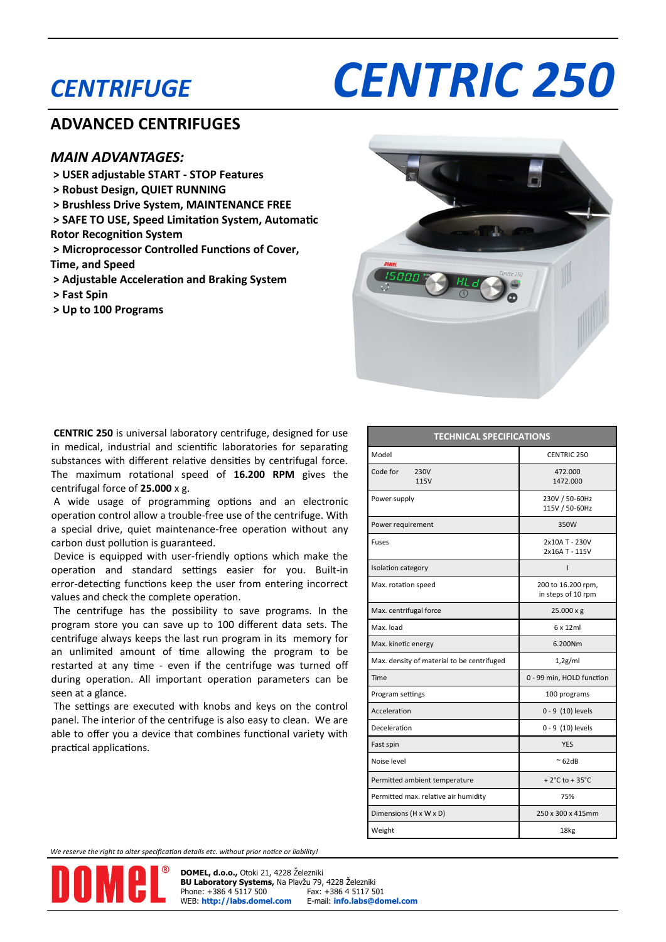## *CENTRIFUGE*

# *CENTRIC 250*

#### **ADVANCED CENTRIFUGES**

#### *MAIN ADVANTAGES:*

- **> USER adjustable START - STOP Features**
- **> Robust Design, QUIET RUNNING**
- **> Brushless Drive System, MAINTENANCE FREE**
- **> SAFE TO USE, Speed Limitation System, Automatic Rotor Recognition System**
- **> Microprocessor Controlled Functions of Cover, Time, and Speed**

**> Adjustable Acceleration and Braking System**

- **> Fast Spin**
- **> Up to 100 Programs**



**CENTRIC 250** is universal laboratory centrifuge, designed for use in medical, industrial and scientific laboratories for separating substances with different relative densities by centrifugal force. The maximum rotational speed of **16.200 RPM** gives the centrifugal force of **25.000** x g.

A wide usage of programming options and an electronic operation control allow a trouble-free use of the centrifuge. With a special drive, quiet maintenance-free operation without any carbon dust pollution is guaranteed.

Device is equipped with user-friendly options which make the operation and standard settings easier for you. Built-in error-detecting functions keep the user from entering incorrect values and check the complete operation.

The centrifuge has the possibility to save programs. In the program store you can save up to 100 different data sets. The centrifuge always keeps the last run program in its memory for an unlimited amount of time allowing the program to be restarted at any time - even if the centrifuge was turned off during operation. All important operation parameters can be seen at a glance.

The settings are executed with knobs and keys on the control panel. The interior of the centrifuge is also easy to clean. We are able to offer you a device that combines functional variety with practical applications.

| <b>TECHNICAL SPECIFICATIONS</b>            |                                          |  |  |  |  |
|--------------------------------------------|------------------------------------------|--|--|--|--|
| Model                                      | <b>CENTRIC 250</b>                       |  |  |  |  |
| Code for<br>230V<br><b>115V</b>            | 472.000<br>1472.000                      |  |  |  |  |
| Power supply                               | 230V / 50-60Hz<br>115V / 50-60Hz         |  |  |  |  |
| Power requirement                          | 350W                                     |  |  |  |  |
| <b>Fuses</b>                               | 2x10A T - 230V<br>2x16A T - 115V         |  |  |  |  |
| Isolation category                         | ı                                        |  |  |  |  |
| Max. rotation speed                        | 200 to 16.200 rpm,<br>in steps of 10 rpm |  |  |  |  |
| Max. centrifugal force                     | $25.000 \times g$                        |  |  |  |  |
| Max. load                                  | $6 \times 12$ ml                         |  |  |  |  |
| Max. kinetic energy                        | 6.200Nm                                  |  |  |  |  |
| Max. density of material to be centrifuged | 1,2g/ml                                  |  |  |  |  |
| Time                                       | 0 - 99 min, HOLD function                |  |  |  |  |
| Program settings                           | 100 programs                             |  |  |  |  |
| Acceleration                               | 0 - 9 (10) levels                        |  |  |  |  |
| Deceleration                               | 0 - 9 (10) levels                        |  |  |  |  |
| Fast spin                                  | <b>YES</b>                               |  |  |  |  |
| Noise level                                | $~\sim$ 62dB                             |  |  |  |  |
| Permitted ambient temperature              | + $2^{\circ}$ C to + $35^{\circ}$ C      |  |  |  |  |
| Permitted max. relative air humidity       | 75%                                      |  |  |  |  |
| Dimensions (H x W x D)                     | 250 x 300 x 415mm                        |  |  |  |  |
| Weight                                     | 18kg                                     |  |  |  |  |

*We reserve the right to alter specification details etc. without prior notice or liability!*